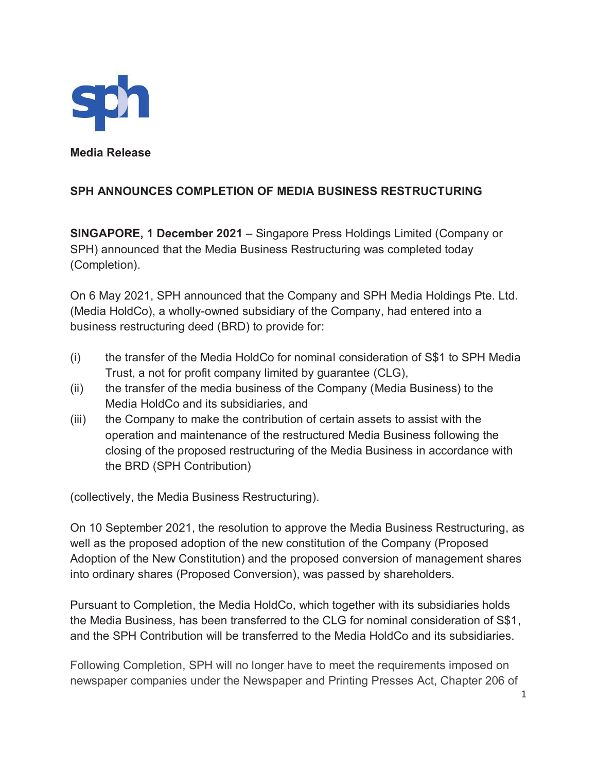

**Media Release** 

### **SPH ANNOUNCES COMPLETION OF MEDIA BUSINESS RESTRUCTURING**

**SINGAPORE, 1 December 2021** – Singapore Press Holdings Limited (Company or SPH) announced that the Media Business Restructuring was completed today (Completion).

On 6 May 2021, SPH announced that the Company and SPH Media Holdings Pte. Ltd. (Media HoldCo), a wholly-owned subsidiary of the Company, had entered into a business restructuring deed (BRD) to provide for:

- (i) the transfer of the Media HoldCo for nominal consideration of S\$1 to SPH Media Trust, a not for profit company limited by guarantee (CLG),
- (ii) the transfer of the media business of the Company (Media Business) to the Media HoldCo and its subsidiaries, and
- (iii) the Company to make the contribution of certain assets to assist with the operation and maintenance of the restructured Media Business following the closing of the proposed restructuring of the Media Business in accordance with the BRD (SPH Contribution)

(collectively, the Media Business Restructuring).

On 10 September 2021, the resolution to approve the Media Business Restructuring, as well as the proposed adoption of the new constitution of the Company (Proposed Adoption of the New Constitution) and the proposed conversion of management shares into ordinary shares (Proposed Conversion), was passed by shareholders.

Pursuant to Completion, the Media HoldCo, which together with its subsidiaries holds the Media Business, has been transferred to the CLG for nominal consideration of S\$1, and the SPH Contribution will be transferred to the Media HoldCo and its subsidiaries.

Following Completion, SPH will no longer have to meet the requirements imposed on newspaper companies under the Newspaper and Printing Presses Act, Chapter 206 of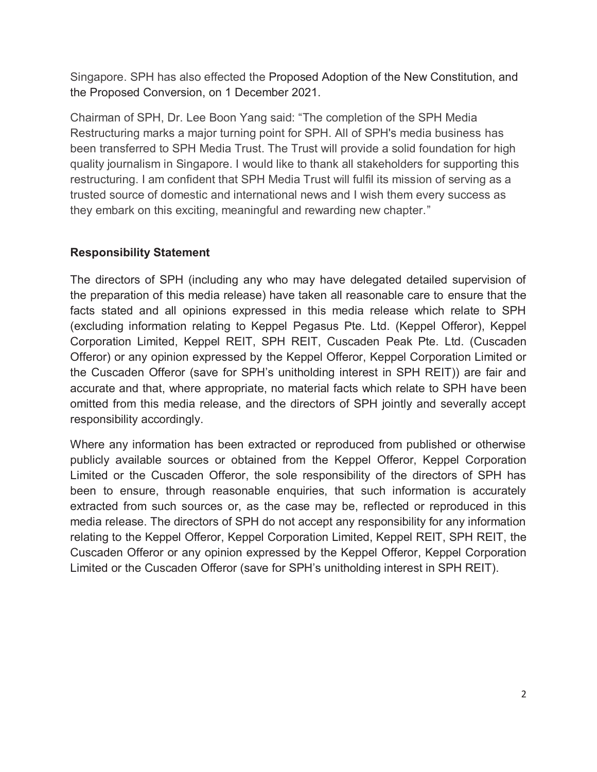Singapore. SPH has also effected the Proposed Adoption of the New Constitution, and the Proposed Conversion, on 1 December 2021.

Chairman of SPH, Dr. Lee Boon Yang said: "The completion of the SPH Media Restructuring marks a major turning point for SPH. All of SPH's media business has been transferred to SPH Media Trust. The Trust will provide a solid foundation for high quality journalism in Singapore. I would like to thank all stakeholders for supporting this restructuring. I am confident that SPH Media Trust will fulfil its mission of serving as a trusted source of domestic and international news and I wish them every success as they embark on this exciting, meaningful and rewarding new chapter."

# **Responsibility Statement**

The directors of SPH (including any who may have delegated detailed supervision of the preparation of this media release) have taken all reasonable care to ensure that the facts stated and all opinions expressed in this media release which relate to SPH (excluding information relating to Keppel Pegasus Pte. Ltd. (Keppel Offeror), Keppel Corporation Limited, Keppel REIT, SPH REIT, Cuscaden Peak Pte. Ltd. (Cuscaden Offeror) or any opinion expressed by the Keppel Offeror, Keppel Corporation Limited or the Cuscaden Offeror (save for SPH's unitholding interest in SPH REIT)) are fair and accurate and that, where appropriate, no material facts which relate to SPH have been omitted from this media release, and the directors of SPH jointly and severally accept responsibility accordingly.

Where any information has been extracted or reproduced from published or otherwise publicly available sources or obtained from the Keppel Offeror, Keppel Corporation Limited or the Cuscaden Offeror, the sole responsibility of the directors of SPH has been to ensure, through reasonable enquiries, that such information is accurately extracted from such sources or, as the case may be, reflected or reproduced in this media release. The directors of SPH do not accept any responsibility for any information relating to the Keppel Offeror, Keppel Corporation Limited, Keppel REIT, SPH REIT, the Cuscaden Offeror or any opinion expressed by the Keppel Offeror, Keppel Corporation Limited or the Cuscaden Offeror (save for SPH's unitholding interest in SPH REIT).